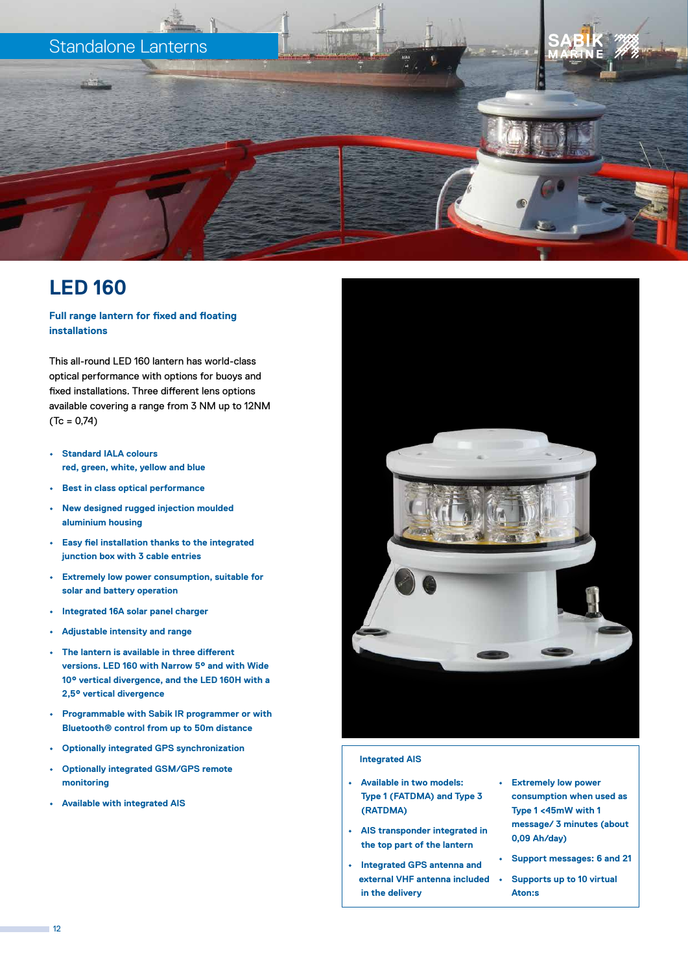

### **LED 160**

### **Full range lantern for fixed and floating installations**

This all-round LED 160 lantern has world-class optical performance with options for buoys and fixed installations. Three different lens options available covering a range from 3 NM up to 12NM  $(Tc = 0,74)$ 

- **• Standard IALA colours red, green, white, yellow and blue**
- **• Best in class optical performance**
- **• New designed rugged injection moulded aluminium housing**
- **• Easy fiel installation thanks to the integrated junction box with 3 cable entries**
- **• Extremely low power consumption, suitable for solar and battery operation**
- **• Integrated 16A solar panel charger**
- **• Adjustable intensity and range**
- **• The lantern is available in three different versions. LED 160 with Narrow 5° and with Wide 10° vertical divergence, and the LED 160H with a 2,5° vertical divergence**
- **• Programmable with Sabik IR programmer or with Bluetooth® control from up to 50m distance**
- **• Optionally integrated GPS synchronization**
- **• Optionally integrated GSM/GPS remote monitoring**
- **• Available with integrated AIS**



#### **Integrated AIS**

- **• Available in two models: Type 1 (FATDMA) and Type 3 (RATDMA)**
- **• AIS transponder integrated in the top part of the lantern**
- **• Integrated GPS antenna and external VHF antenna included in the delivery**
- **• Extremely low power consumption when used as Type 1 <45mW with 1 message/ 3 minutes (about 0,09 Ah/day)**
- **• Support messages: 6 and 21**
	- **• Supports up to 10 virtual Aton:s**